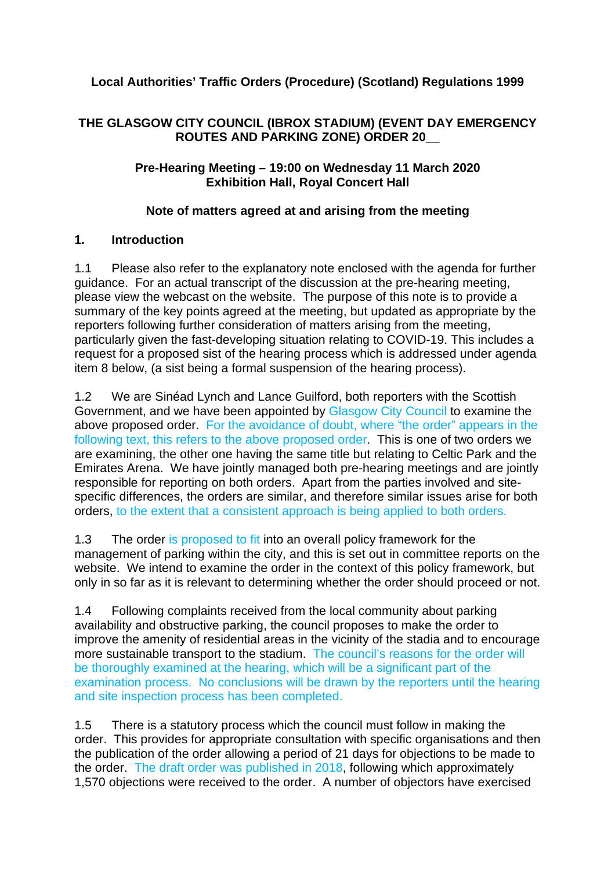# **Local Authorities' Traffic Orders (Procedure) (Scotland) Regulations 1999**

## **THE GLASGOW CITY COUNCIL (IBROX STADIUM) (EVENT DAY EMERGENCY ROUTES AND PARKING ZONE) ORDER 20\_\_**

### **Pre-Hearing Meeting – 19:00 on Wednesday 11 March 2020 Exhibition Hall, Royal Concert Hall**

## **Note of matters agreed at and arising from the meeting**

### **1. Introduction**

1.1 Please also refer to the explanatory note enclosed with the agenda for further guidance. For an actual transcript of the discussion at the pre-hearing meeting, please view the webcast on the website. The purpose of this note is to provide a summary of the key points agreed at the meeting, but updated as appropriate by the reporters following further consideration of matters arising from the meeting, particularly given the fast-developing situation relating to COVID-19. This includes a request for a proposed sist of the hearing process which is addressed under agenda item 8 below, (a sist being a formal suspension of the hearing process).

1.2 We are Sinéad Lynch and Lance Guilford, both reporters with the Scottish Government, and we have been appointed by Glasgow City Council to examine the above proposed order. For the avoidance of doubt, where "the order" appears in the following text, this refers to the above proposed order. This is one of two orders we are examining, the other one having the same title but relating to Celtic Park and the Emirates Arena. We have jointly managed both pre-hearing meetings and are jointly responsible for reporting on both orders. Apart from the parties involved and sitespecific differences, the orders are similar, and therefore similar issues arise for both orders, to the extent that a consistent approach is being applied to both orders.

1.3 The order is proposed to fit into an overall policy framework for the management of parking within the city, and this is set out in committee reports on the website. We intend to examine the order in the context of this policy framework, but only in so far as it is relevant to determining whether the order should proceed or not.

1.4 Following complaints received from the local community about parking availability and obstructive parking, the council proposes to make the order to improve the amenity of residential areas in the vicinity of the stadia and to encourage more sustainable transport to the stadium. The council's reasons for the order will be thoroughly examined at the hearing, which will be a significant part of the examination process. No conclusions will be drawn by the reporters until the hearing and site inspection process has been completed.

1.5 There is a statutory process which the council must follow in making the order. This provides for appropriate consultation with specific organisations and then the publication of the order allowing a period of 21 days for objections to be made to the order. The draft order was published in 2018, following which approximately 1,570 objections were received to the order. A number of objectors have exercised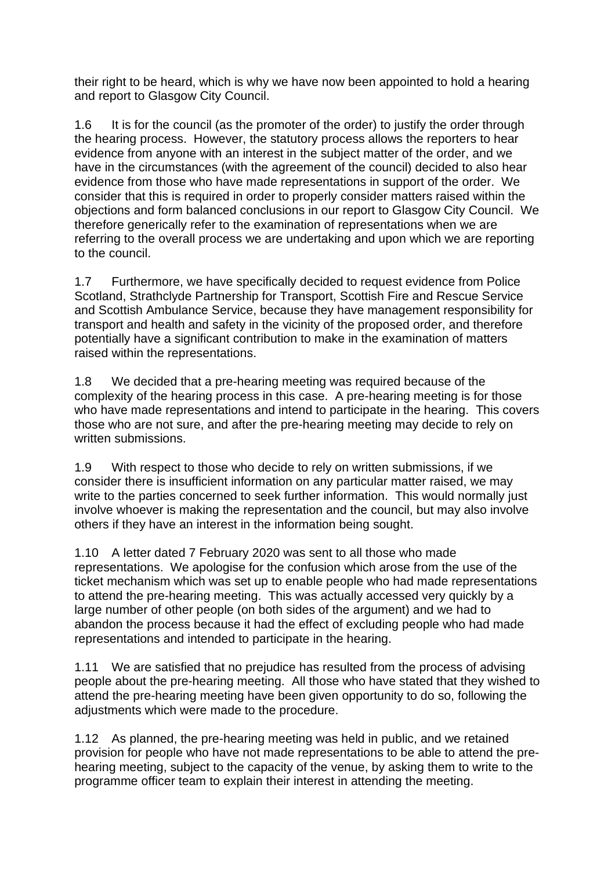their right to be heard, which is why we have now been appointed to hold a hearing and report to Glasgow City Council.

1.6 It is for the council (as the promoter of the order) to justify the order through the hearing process. However, the statutory process allows the reporters to hear evidence from anyone with an interest in the subject matter of the order, and we have in the circumstances (with the agreement of the council) decided to also hear evidence from those who have made representations in support of the order. We consider that this is required in order to properly consider matters raised within the objections and form balanced conclusions in our report to Glasgow City Council. We therefore generically refer to the examination of representations when we are referring to the overall process we are undertaking and upon which we are reporting to the council.

1.7 Furthermore, we have specifically decided to request evidence from Police Scotland, Strathclyde Partnership for Transport, Scottish Fire and Rescue Service and Scottish Ambulance Service, because they have management responsibility for transport and health and safety in the vicinity of the proposed order, and therefore potentially have a significant contribution to make in the examination of matters raised within the representations.

1.8 We decided that a pre-hearing meeting was required because of the complexity of the hearing process in this case. A pre-hearing meeting is for those who have made representations and intend to participate in the hearing. This covers those who are not sure, and after the pre-hearing meeting may decide to rely on written submissions.

1.9 With respect to those who decide to rely on written submissions, if we consider there is insufficient information on any particular matter raised, we may write to the parties concerned to seek further information. This would normally just involve whoever is making the representation and the council, but may also involve others if they have an interest in the information being sought.

1.10 A letter dated 7 February 2020 was sent to all those who made representations. We apologise for the confusion which arose from the use of the ticket mechanism which was set up to enable people who had made representations to attend the pre-hearing meeting. This was actually accessed very quickly by a large number of other people (on both sides of the argument) and we had to abandon the process because it had the effect of excluding people who had made representations and intended to participate in the hearing.

1.11 We are satisfied that no prejudice has resulted from the process of advising people about the pre-hearing meeting. All those who have stated that they wished to attend the pre-hearing meeting have been given opportunity to do so, following the adjustments which were made to the procedure.

1.12 As planned, the pre-hearing meeting was held in public, and we retained provision for people who have not made representations to be able to attend the prehearing meeting, subject to the capacity of the venue, by asking them to write to the programme officer team to explain their interest in attending the meeting.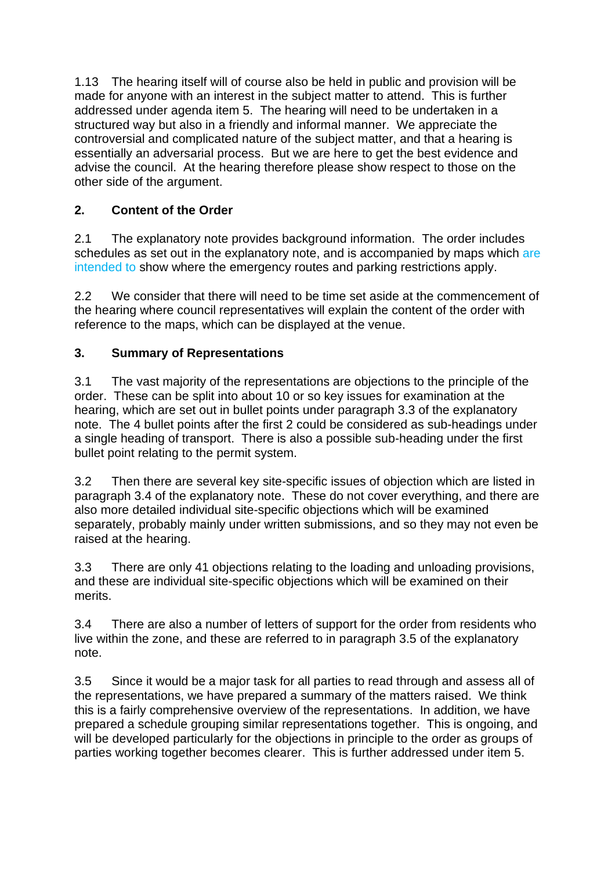1.13 The hearing itself will of course also be held in public and provision will be made for anyone with an interest in the subject matter to attend. This is further addressed under agenda item 5. The hearing will need to be undertaken in a structured way but also in a friendly and informal manner. We appreciate the controversial and complicated nature of the subject matter, and that a hearing is essentially an adversarial process. But we are here to get the best evidence and advise the council. At the hearing therefore please show respect to those on the other side of the argument.

# **2. Content of the Order**

2.1 The explanatory note provides background information. The order includes schedules as set out in the explanatory note, and is accompanied by maps which are intended to show where the emergency routes and parking restrictions apply.

2.2 We consider that there will need to be time set aside at the commencement of the hearing where council representatives will explain the content of the order with reference to the maps, which can be displayed at the venue.

# **3. Summary of Representations**

3.1 The vast majority of the representations are objections to the principle of the order. These can be split into about 10 or so key issues for examination at the hearing, which are set out in bullet points under paragraph 3.3 of the explanatory note. The 4 bullet points after the first 2 could be considered as sub-headings under a single heading of transport. There is also a possible sub-heading under the first bullet point relating to the permit system.

3.2 Then there are several key site-specific issues of objection which are listed in paragraph 3.4 of the explanatory note. These do not cover everything, and there are also more detailed individual site-specific objections which will be examined separately, probably mainly under written submissions, and so they may not even be raised at the hearing.

3.3 There are only 41 objections relating to the loading and unloading provisions, and these are individual site-specific objections which will be examined on their merits.

3.4 There are also a number of letters of support for the order from residents who live within the zone, and these are referred to in paragraph 3.5 of the explanatory note.

3.5 Since it would be a major task for all parties to read through and assess all of the representations, we have prepared a summary of the matters raised. We think this is a fairly comprehensive overview of the representations. In addition, we have prepared a schedule grouping similar representations together. This is ongoing, and will be developed particularly for the objections in principle to the order as groups of parties working together becomes clearer. This is further addressed under item 5.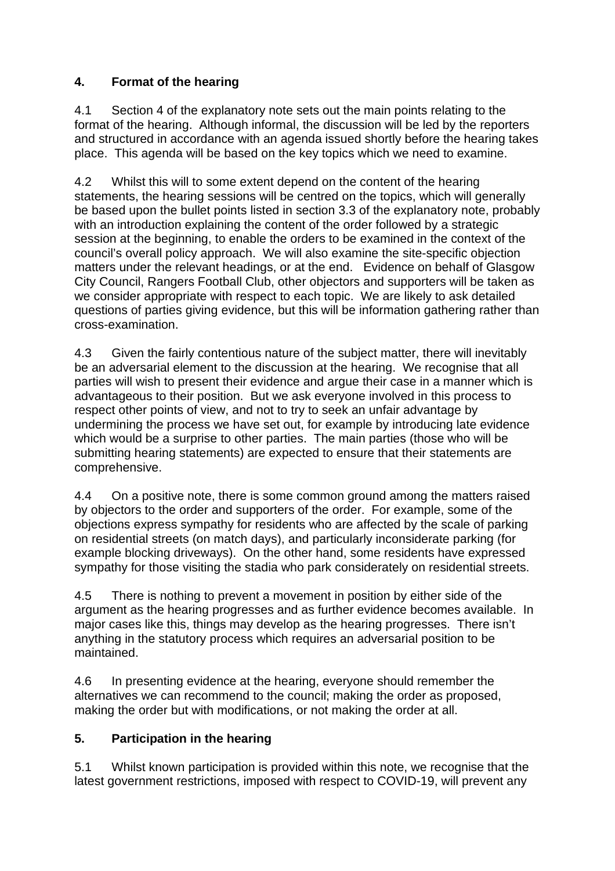# **4. Format of the hearing**

4.1 Section 4 of the explanatory note sets out the main points relating to the format of the hearing. Although informal, the discussion will be led by the reporters and structured in accordance with an agenda issued shortly before the hearing takes place. This agenda will be based on the key topics which we need to examine.

4.2 Whilst this will to some extent depend on the content of the hearing statements, the hearing sessions will be centred on the topics, which will generally be based upon the bullet points listed in section 3.3 of the explanatory note, probably with an introduction explaining the content of the order followed by a strategic session at the beginning, to enable the orders to be examined in the context of the council's overall policy approach. We will also examine the site-specific objection matters under the relevant headings, or at the end. Evidence on behalf of Glasgow City Council, Rangers Football Club, other objectors and supporters will be taken as we consider appropriate with respect to each topic. We are likely to ask detailed questions of parties giving evidence, but this will be information gathering rather than cross-examination.

4.3 Given the fairly contentious nature of the subject matter, there will inevitably be an adversarial element to the discussion at the hearing. We recognise that all parties will wish to present their evidence and argue their case in a manner which is advantageous to their position. But we ask everyone involved in this process to respect other points of view, and not to try to seek an unfair advantage by undermining the process we have set out, for example by introducing late evidence which would be a surprise to other parties. The main parties (those who will be submitting hearing statements) are expected to ensure that their statements are comprehensive.

4.4 On a positive note, there is some common ground among the matters raised by objectors to the order and supporters of the order. For example, some of the objections express sympathy for residents who are affected by the scale of parking on residential streets (on match days), and particularly inconsiderate parking (for example blocking driveways). On the other hand, some residents have expressed sympathy for those visiting the stadia who park considerately on residential streets.

4.5 There is nothing to prevent a movement in position by either side of the argument as the hearing progresses and as further evidence becomes available. In major cases like this, things may develop as the hearing progresses. There isn't anything in the statutory process which requires an adversarial position to be maintained.

4.6 In presenting evidence at the hearing, everyone should remember the alternatives we can recommend to the council; making the order as proposed, making the order but with modifications, or not making the order at all.

# **5. Participation in the hearing**

5.1 Whilst known participation is provided within this note, we recognise that the latest government restrictions, imposed with respect to COVID-19, will prevent any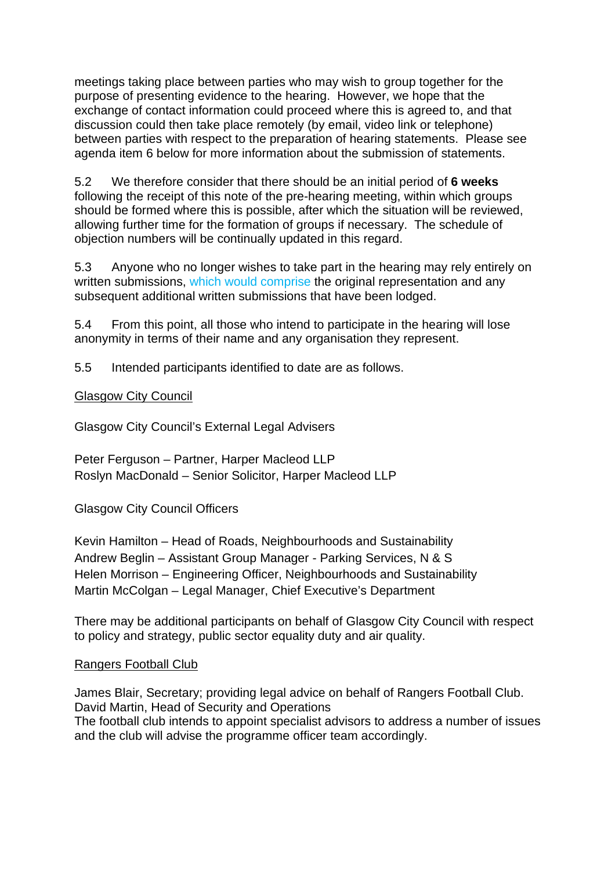meetings taking place between parties who may wish to group together for the purpose of presenting evidence to the hearing. However, we hope that the exchange of contact information could proceed where this is agreed to, and that discussion could then take place remotely (by email, video link or telephone) between parties with respect to the preparation of hearing statements. Please see agenda item 6 below for more information about the submission of statements.

5.2 We therefore consider that there should be an initial period of **6 weeks**  following the receipt of this note of the pre-hearing meeting, within which groups should be formed where this is possible, after which the situation will be reviewed, allowing further time for the formation of groups if necessary. The schedule of objection numbers will be continually updated in this regard.

5.3 Anyone who no longer wishes to take part in the hearing may rely entirely on written submissions, which would comprise the original representation and any subsequent additional written submissions that have been lodged.

5.4 From this point, all those who intend to participate in the hearing will lose anonymity in terms of their name and any organisation they represent.

5.5 Intended participants identified to date are as follows.

Glasgow City Council

Glasgow City Council's External Legal Advisers

Peter Ferguson – Partner, Harper Macleod LLP Roslyn MacDonald – Senior Solicitor, Harper Macleod LLP

Glasgow City Council Officers

Kevin Hamilton – Head of Roads, Neighbourhoods and Sustainability Andrew Beglin – Assistant Group Manager - Parking Services, N & S Helen Morrison – Engineering Officer, Neighbourhoods and Sustainability Martin McColgan – Legal Manager, Chief Executive's Department

There may be additional participants on behalf of Glasgow City Council with respect to policy and strategy, public sector equality duty and air quality.

### Rangers Football Club

James Blair, Secretary; providing legal advice on behalf of Rangers Football Club. David Martin, Head of Security and Operations The football club intends to appoint specialist advisors to address a number of issues and the club will advise the programme officer team accordingly.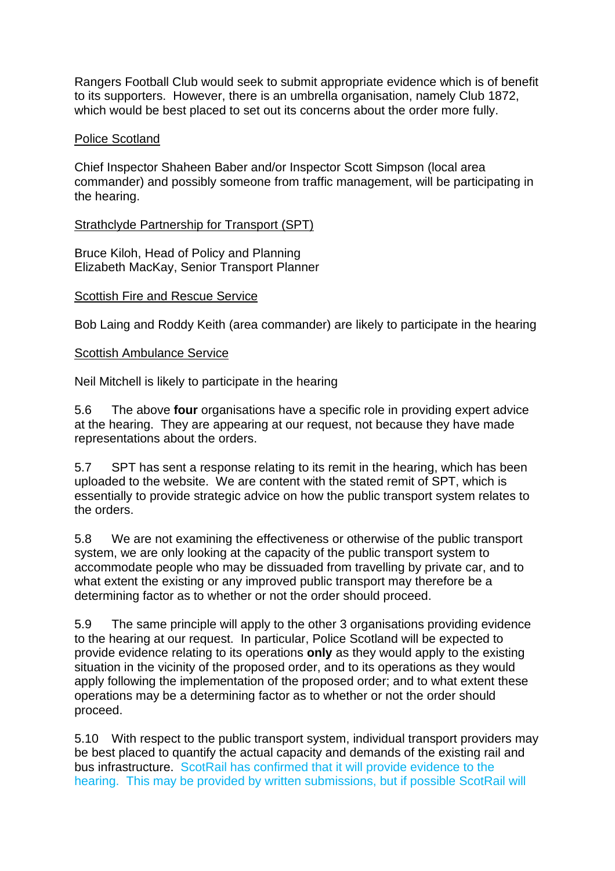Rangers Football Club would seek to submit appropriate evidence which is of benefit to its supporters. However, there is an umbrella organisation, namely Club 1872, which would be best placed to set out its concerns about the order more fully.

#### Police Scotland

Chief Inspector Shaheen Baber and/or Inspector Scott Simpson (local area commander) and possibly someone from traffic management, will be participating in the hearing.

#### Strathclyde Partnership for Transport (SPT)

Bruce Kiloh, Head of Policy and Planning Elizabeth MacKay, Senior Transport Planner

#### Scottish Fire and Rescue Service

Bob Laing and Roddy Keith (area commander) are likely to participate in the hearing

#### Scottish Ambulance Service

Neil Mitchell is likely to participate in the hearing

5.6 The above **four** organisations have a specific role in providing expert advice at the hearing. They are appearing at our request, not because they have made representations about the orders.

5.7 SPT has sent a response relating to its remit in the hearing, which has been uploaded to the website. We are content with the stated remit of SPT, which is essentially to provide strategic advice on how the public transport system relates to the orders.

5.8 We are not examining the effectiveness or otherwise of the public transport system, we are only looking at the capacity of the public transport system to accommodate people who may be dissuaded from travelling by private car, and to what extent the existing or any improved public transport may therefore be a determining factor as to whether or not the order should proceed.

5.9 The same principle will apply to the other 3 organisations providing evidence to the hearing at our request. In particular, Police Scotland will be expected to provide evidence relating to its operations **only** as they would apply to the existing situation in the vicinity of the proposed order, and to its operations as they would apply following the implementation of the proposed order; and to what extent these operations may be a determining factor as to whether or not the order should proceed.

5.10 With respect to the public transport system, individual transport providers may be best placed to quantify the actual capacity and demands of the existing rail and bus infrastructure. ScotRail has confirmed that it will provide evidence to the hearing. This may be provided by written submissions, but if possible ScotRail will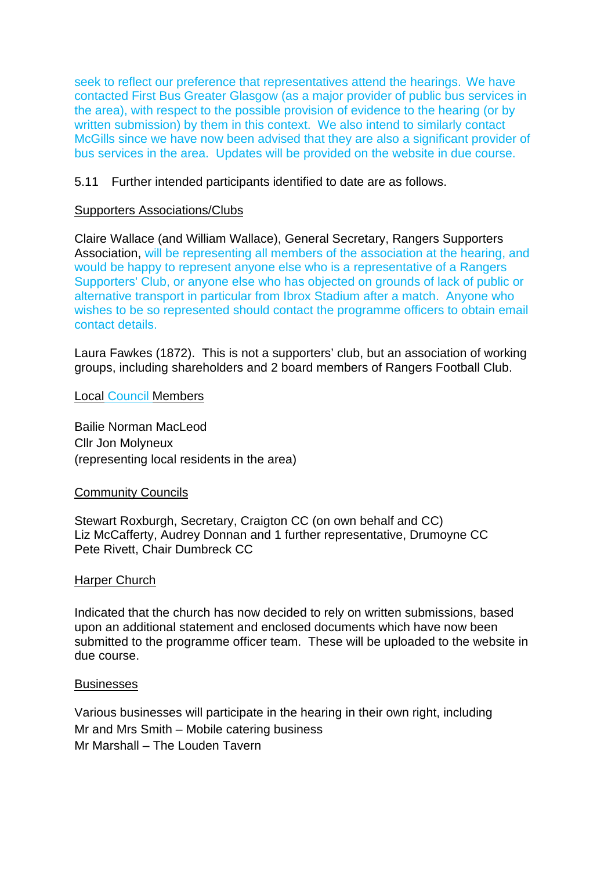seek to reflect our preference that representatives attend the hearings. We have contacted First Bus Greater Glasgow (as a major provider of public bus services in the area), with respect to the possible provision of evidence to the hearing (or by written submission) by them in this context. We also intend to similarly contact McGills since we have now been advised that they are also a significant provider of bus services in the area. Updates will be provided on the website in due course.

#### 5.11 Further intended participants identified to date are as follows.

#### Supporters Associations/Clubs

Claire Wallace (and William Wallace), General Secretary, Rangers Supporters Association, will be representing all members of the association at the hearing, and would be happy to represent anyone else who is a representative of a Rangers Supporters' Club, or anyone else who has objected on grounds of lack of public or alternative transport in particular from Ibrox Stadium after a match. Anyone who wishes to be so represented should contact the programme officers to obtain email contact details.

Laura Fawkes (1872). This is not a supporters' club, but an association of working groups, including shareholders and 2 board members of Rangers Football Club.

Local Council Members

Bailie Norman MacLeod Cllr Jon Molyneux (representing local residents in the area)

#### Community Councils

Stewart Roxburgh, Secretary, Craigton CC (on own behalf and CC) Liz McCafferty, Audrey Donnan and 1 further representative, Drumoyne CC Pete Rivett, Chair Dumbreck CC

#### Harper Church

Indicated that the church has now decided to rely on written submissions, based upon an additional statement and enclosed documents which have now been submitted to the programme officer team. These will be uploaded to the website in due course.

#### **Businesses**

Various businesses will participate in the hearing in their own right, including Mr and Mrs Smith – Mobile catering business Mr Marshall – The Louden Tavern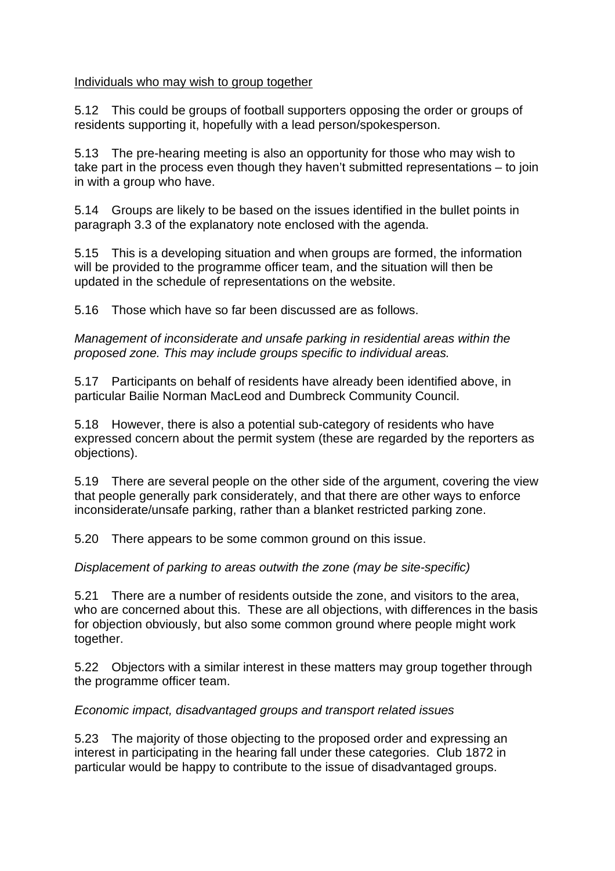### Individuals who may wish to group together

5.12 This could be groups of football supporters opposing the order or groups of residents supporting it, hopefully with a lead person/spokesperson.

5.13 The pre-hearing meeting is also an opportunity for those who may wish to take part in the process even though they haven't submitted representations – to join in with a group who have.

5.14 Groups are likely to be based on the issues identified in the bullet points in paragraph 3.3 of the explanatory note enclosed with the agenda.

5.15 This is a developing situation and when groups are formed, the information will be provided to the programme officer team, and the situation will then be updated in the schedule of representations on the website.

5.16 Those which have so far been discussed are as follows.

Management of inconsiderate and unsafe parking in residential areas within the proposed zone. This may include groups specific to individual areas.

5.17 Participants on behalf of residents have already been identified above, in particular Bailie Norman MacLeod and Dumbreck Community Council.

5.18 However, there is also a potential sub-category of residents who have expressed concern about the permit system (these are regarded by the reporters as objections).

5.19 There are several people on the other side of the argument, covering the view that people generally park considerately, and that there are other ways to enforce inconsiderate/unsafe parking, rather than a blanket restricted parking zone.

5.20 There appears to be some common ground on this issue.

Displacement of parking to areas outwith the zone (may be site-specific)

5.21 There are a number of residents outside the zone, and visitors to the area, who are concerned about this. These are all objections, with differences in the basis for objection obviously, but also some common ground where people might work together.

5.22 Objectors with a similar interest in these matters may group together through the programme officer team.

# Economic impact, disadvantaged groups and transport related issues

5.23 The majority of those objecting to the proposed order and expressing an interest in participating in the hearing fall under these categories. Club 1872 in particular would be happy to contribute to the issue of disadvantaged groups.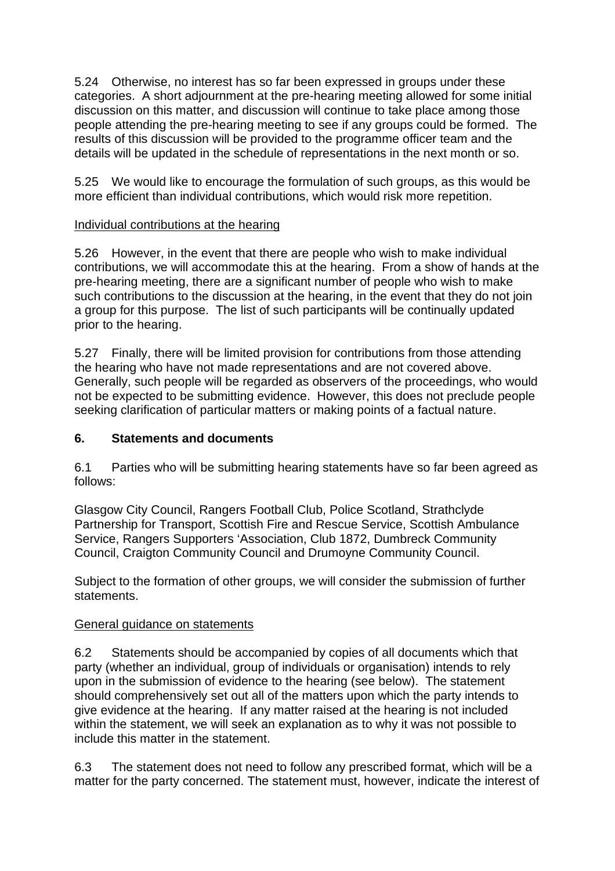5.24 Otherwise, no interest has so far been expressed in groups under these categories. A short adjournment at the pre-hearing meeting allowed for some initial discussion on this matter, and discussion will continue to take place among those people attending the pre-hearing meeting to see if any groups could be formed. The results of this discussion will be provided to the programme officer team and the details will be updated in the schedule of representations in the next month or so.

5.25 We would like to encourage the formulation of such groups, as this would be more efficient than individual contributions, which would risk more repetition.

### Individual contributions at the hearing

5.26 However, in the event that there are people who wish to make individual contributions, we will accommodate this at the hearing. From a show of hands at the pre-hearing meeting, there are a significant number of people who wish to make such contributions to the discussion at the hearing, in the event that they do not join a group for this purpose. The list of such participants will be continually updated prior to the hearing.

5.27 Finally, there will be limited provision for contributions from those attending the hearing who have not made representations and are not covered above. Generally, such people will be regarded as observers of the proceedings, who would not be expected to be submitting evidence. However, this does not preclude people seeking clarification of particular matters or making points of a factual nature.

## **6. Statements and documents**

6.1 Parties who will be submitting hearing statements have so far been agreed as follows:

Glasgow City Council, Rangers Football Club, Police Scotland, Strathclyde Partnership for Transport, Scottish Fire and Rescue Service, Scottish Ambulance Service, Rangers Supporters 'Association, Club 1872, Dumbreck Community Council, Craigton Community Council and Drumoyne Community Council.

Subject to the formation of other groups, we will consider the submission of further statements.

### General guidance on statements

6.2 Statements should be accompanied by copies of all documents which that party (whether an individual, group of individuals or organisation) intends to rely upon in the submission of evidence to the hearing (see below). The statement should comprehensively set out all of the matters upon which the party intends to give evidence at the hearing. If any matter raised at the hearing is not included within the statement, we will seek an explanation as to why it was not possible to include this matter in the statement.

6.3 The statement does not need to follow any prescribed format, which will be a matter for the party concerned. The statement must, however, indicate the interest of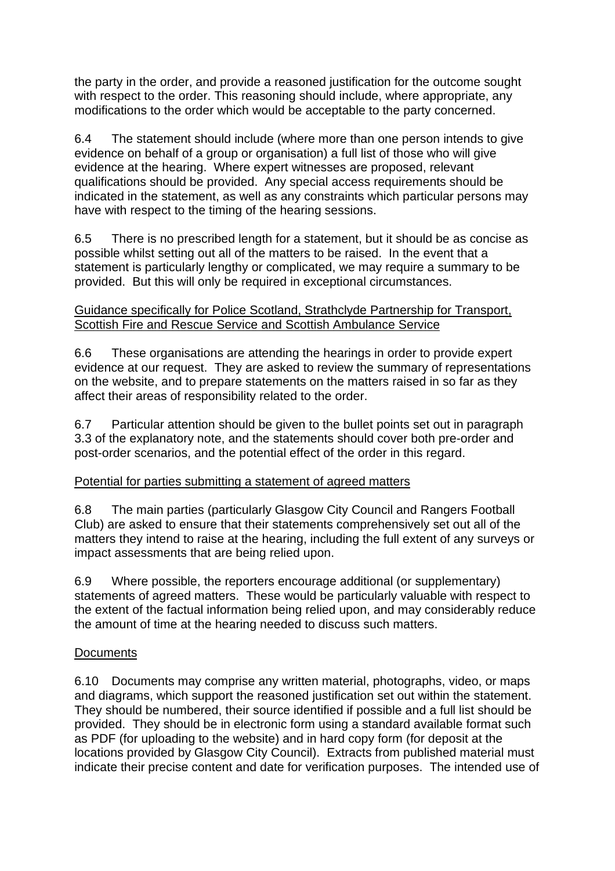the party in the order, and provide a reasoned justification for the outcome sought with respect to the order. This reasoning should include, where appropriate, any modifications to the order which would be acceptable to the party concerned.

6.4 The statement should include (where more than one person intends to give evidence on behalf of a group or organisation) a full list of those who will give evidence at the hearing. Where expert witnesses are proposed, relevant qualifications should be provided. Any special access requirements should be indicated in the statement, as well as any constraints which particular persons may have with respect to the timing of the hearing sessions.

6.5 There is no prescribed length for a statement, but it should be as concise as possible whilst setting out all of the matters to be raised. In the event that a statement is particularly lengthy or complicated, we may require a summary to be provided. But this will only be required in exceptional circumstances.

### Guidance specifically for Police Scotland, Strathclyde Partnership for Transport, Scottish Fire and Rescue Service and Scottish Ambulance Service

6.6 These organisations are attending the hearings in order to provide expert evidence at our request. They are asked to review the summary of representations on the website, and to prepare statements on the matters raised in so far as they affect their areas of responsibility related to the order.

6.7 Particular attention should be given to the bullet points set out in paragraph 3.3 of the explanatory note, and the statements should cover both pre-order and post-order scenarios, and the potential effect of the order in this regard.

# Potential for parties submitting a statement of agreed matters

6.8 The main parties (particularly Glasgow City Council and Rangers Football Club) are asked to ensure that their statements comprehensively set out all of the matters they intend to raise at the hearing, including the full extent of any surveys or impact assessments that are being relied upon.

6.9 Where possible, the reporters encourage additional (or supplementary) statements of agreed matters. These would be particularly valuable with respect to the extent of the factual information being relied upon, and may considerably reduce the amount of time at the hearing needed to discuss such matters.

# **Documents**

6.10 Documents may comprise any written material, photographs, video, or maps and diagrams, which support the reasoned justification set out within the statement. They should be numbered, their source identified if possible and a full list should be provided. They should be in electronic form using a standard available format such as PDF (for uploading to the website) and in hard copy form (for deposit at the locations provided by Glasgow City Council). Extracts from published material must indicate their precise content and date for verification purposes. The intended use of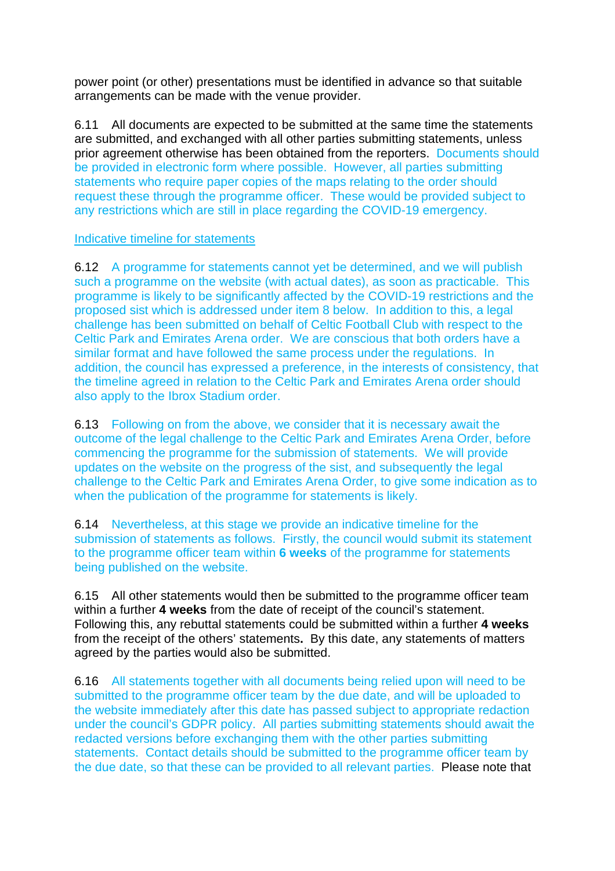power point (or other) presentations must be identified in advance so that suitable arrangements can be made with the venue provider.

6.11 All documents are expected to be submitted at the same time the statements are submitted, and exchanged with all other parties submitting statements, unless prior agreement otherwise has been obtained from the reporters. Documents should be provided in electronic form where possible. However, all parties submitting statements who require paper copies of the maps relating to the order should request these through the programme officer. These would be provided subject to any restrictions which are still in place regarding the COVID-19 emergency.

#### Indicative timeline for statements

6.12 A programme for statements cannot yet be determined, and we will publish such a programme on the website (with actual dates), as soon as practicable. This programme is likely to be significantly affected by the COVID-19 restrictions and the proposed sist which is addressed under item 8 below. In addition to this, a legal challenge has been submitted on behalf of Celtic Football Club with respect to the Celtic Park and Emirates Arena order. We are conscious that both orders have a similar format and have followed the same process under the regulations. In addition, the council has expressed a preference, in the interests of consistency, that the timeline agreed in relation to the Celtic Park and Emirates Arena order should also apply to the Ibrox Stadium order.

6.13 Following on from the above, we consider that it is necessary await the outcome of the legal challenge to the Celtic Park and Emirates Arena Order, before commencing the programme for the submission of statements. We will provide updates on the website on the progress of the sist, and subsequently the legal challenge to the Celtic Park and Emirates Arena Order, to give some indication as to when the publication of the programme for statements is likely.

6.14 Nevertheless, at this stage we provide an indicative timeline for the submission of statements as follows. Firstly, the council would submit its statement to the programme officer team within **6 weeks** of the programme for statements being published on the website.

6.15 All other statements would then be submitted to the programme officer team within a further **4 weeks** from the date of receipt of the council's statement. Following this, any rebuttal statements could be submitted within a further **4 weeks**  from the receipt of the others' statements**.** By this date, any statements of matters agreed by the parties would also be submitted.

6.16 All statements together with all documents being relied upon will need to be submitted to the programme officer team by the due date, and will be uploaded to the website immediately after this date has passed subject to appropriate redaction under the council's GDPR policy. All parties submitting statements should await the redacted versions before exchanging them with the other parties submitting statements. Contact details should be submitted to the programme officer team by the due date, so that these can be provided to all relevant parties. Please note that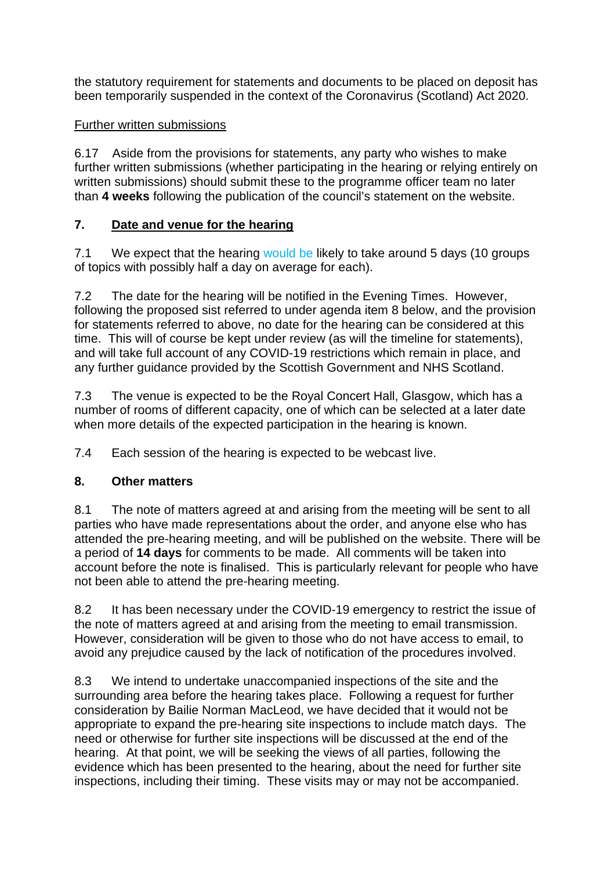the statutory requirement for statements and documents to be placed on deposit has been temporarily suspended in the context of the Coronavirus (Scotland) Act 2020.

# Further written submissions

6.17 Aside from the provisions for statements, any party who wishes to make further written submissions (whether participating in the hearing or relying entirely on written submissions) should submit these to the programme officer team no later than **4 weeks** following the publication of the council's statement on the website.

# **7. Date and venue for the hearing**

7.1 We expect that the hearing would be likely to take around 5 days (10 groups of topics with possibly half a day on average for each).

7.2 The date for the hearing will be notified in the Evening Times. However, following the proposed sist referred to under agenda item 8 below, and the provision for statements referred to above, no date for the hearing can be considered at this time.This will of course be kept under review (as will the timeline for statements), and will take full account of any COVID-19 restrictions which remain in place, and any further guidance provided by the Scottish Government and NHS Scotland.

7.3 The venue is expected to be the Royal Concert Hall, Glasgow, which has a number of rooms of different capacity, one of which can be selected at a later date when more details of the expected participation in the hearing is known.

7.4 Each session of the hearing is expected to be webcast live.

# **8. Other matters**

8.1 The note of matters agreed at and arising from the meeting will be sent to all parties who have made representations about the order, and anyone else who has attended the pre-hearing meeting, and will be published on the website. There will be a period of **14 days** for comments to be made. All comments will be taken into account before the note is finalised. This is particularly relevant for people who have not been able to attend the pre-hearing meeting.

8.2 It has been necessary under the COVID-19 emergency to restrict the issue of the note of matters agreed at and arising from the meeting to email transmission. However, consideration will be given to those who do not have access to email, to avoid any prejudice caused by the lack of notification of the procedures involved.

8.3 We intend to undertake unaccompanied inspections of the site and the surrounding area before the hearing takes place. Following a request for further consideration by Bailie Norman MacLeod, we have decided that it would not be appropriate to expand the pre-hearing site inspections to include match days. The need or otherwise for further site inspections will be discussed at the end of the hearing. At that point, we will be seeking the views of all parties, following the evidence which has been presented to the hearing, about the need for further site inspections, including their timing. These visits may or may not be accompanied.